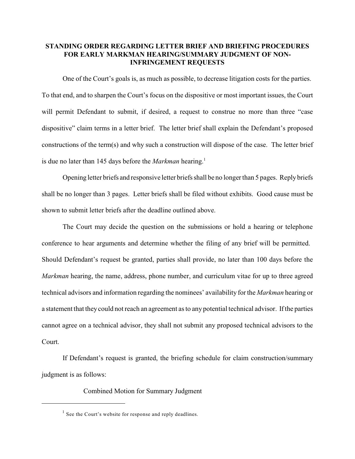## **STANDING ORDER REGARDING LETTER BRIEF AND BRIEFING PROCEDURES FOR EARLY MARKMAN HEARING/SUMMARY JUDGMENT OF NON-INFRINGEMENT REQUESTS**

One of the Court's goals is, as much as possible, to decrease litigation costs for the parties. To that end, and to sharpen the Court's focus on the dispositive or most important issues, the Court will permit Defendant to submit, if desired, a request to construe no more than three "case dispositive" claim terms in a letter brief. The letter brief shall explain the Defendant's proposed constructions of the term(s) and why such a construction will dispose of the case. The letter brief is due no later than 145 days before the *Markman* hearing. 1

Opening letter briefs and responsive letter briefs shall be no longer than 5 pages. Reply briefs shall be no longer than 3 pages. Letter briefs shall be filed without exhibits. Good cause must be shown to submit letter briefs after the deadline outlined above.

The Court may decide the question on the submissions or hold a hearing or telephone conference to hear arguments and determine whether the filing of any brief will be permitted. Should Defendant's request be granted, parties shall provide, no later than 100 days before the *Markman* hearing, the name, address, phone number, and curriculum vitae for up to three agreed technical advisors and information regarding the nominees' availability for the *Markman* hearing or a statement that they could not reach an agreement as to any potential technical advisor. If the parties cannot agree on a technical advisor, they shall not submit any proposed technical advisors to the Court.

If Defendant's request is granted, the briefing schedule for claim construction/summary judgment is as follows:

Combined Motion for Summary Judgment

 $1$  See the Court's website for response and reply deadlines.